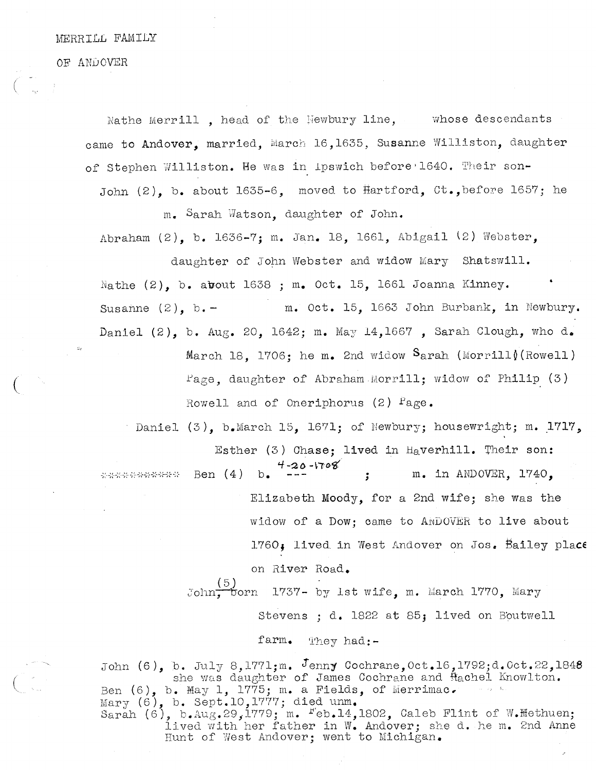OF ANi)OVER

Nathe Merrill , head of the Newbury line, whose descendants came to Andover, married, March 16,1635, Susanne Williston, daughter of Stephen Williston. He was in Ipswich before 1640. Their son-John  $(2)$ , b. about 1635-6, moved to Hartford, Ct., before 1657; he

m. Sarah Natson, daughter of John.

Abraham  $(2)$ , b. 1636-7; m. Jan. 18, 1661, Abigail  $(2)$  Webster,

daughter of John Webster and widow Mary Shatswill. Nathe  $(2)$ , b. about 1638 ; m. Oct. 15, 1661 Joanna Kinney. Susanne  $(2)$ , b. - m. Oct. 15, 1663 John Burbank, in Newbury. Daniel  $(2)$ , b. Aug. 20, 1642; m. May 14,1667, Sarah Clough, who d. March 18. 1706; he m. 2nd widow  $S_{arah}$  (Morrill) (Rowell)  $Page$ , daughter of Abraham Morrill; widow of Philip (3)

Rowell and of Oneriphorus  $(2)$   $Fage.$ 

Daniel  $(3)$ , b.March 15, 1671; of Newbury; housewright; m. 1717, Esther (3) Chase; lived in Haverhill. Their son: ) Chase;<br>4-20-1708 Ben  $(4)$  b.  $-20$ m. in ANDOVER, 1740, \*\*\*\*\*\*\*\*\*\*\* Elizabeth Moody, for a 2nd wife; she was the widow of a Dow; came to ANDOVER to live about 1760, lived in West Andover on Jos. Bailey place on River Road. John. born 1737- by 1st wife, m. March 1770, Mary

Stevens ; d. 1822 at 85; lived on Boutwell

farm. They had:-

John  $(6)$ , b. July 8,1771;m. Jenny Cochrane, Oct.16,1792;d.Oct.22,1848 she was daughter of James Cochrane and flachel Knowlton. Ben  $(6)$ , b. May 1, 1775; m. a Fields, of Merrimac. Mary  $(6)$ , b. Sept.10,1777; died unm. Sarah  $(6)$ , b.Aug.29,1779; m.  $F$ eb.14,1802, Caleb Flint of W.Hethuen; lived with her father in W. Andover; she d. he m. 2nd Anne Hunt of West Andover; went to Michigan.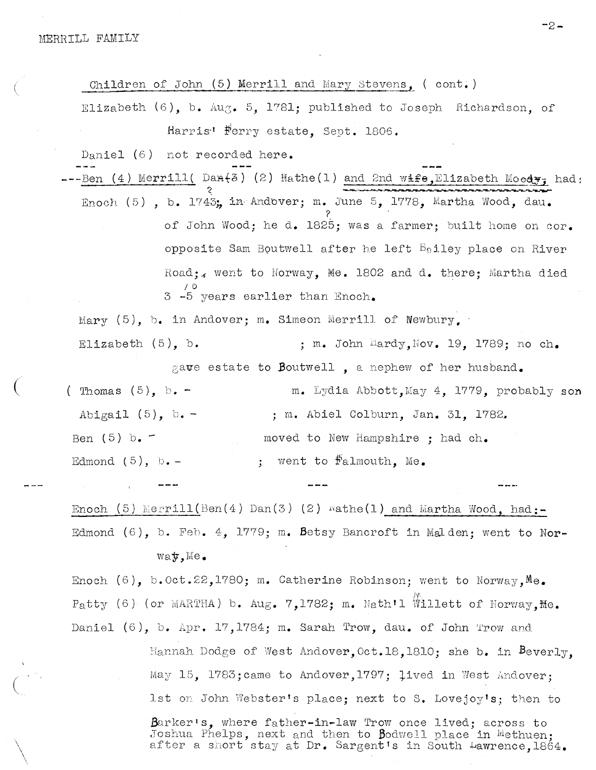Children of John  $(5)$  Merrill and Mary Stevens,  $($  cont.) Elizabeth  $(6)$ , b. Aug. 5, 1781; published to Joseph Richardson, of Harris<sup>1</sup> Ferry estate, Sept. 1806. Daniel (6) not recorded here. --Ben (4) Merrill( Dan $(3)$  (2)  $\text{Match}(1)$  and 2nd wife, Elizabeth Moedy, had: Enoch  $(5)$ , b. 1743; in Andbver; m. June 5, 1778, Martha Wood, dau.  $\check{\mathcal{C}}$ of John Wood; he d. 1825; was a farmer; built home on cor.<br>opposite Sam Boutwell after he left  $B_6$ iley place on River<br>Road; went to Norway, Me. 1802 and d. there; Martha died opposite Sam Boutwell after he left  $B_9$ iley place on River Jo <sup>3</sup> -5 years earlier than Enoch. Mary  $(5)$ , b. in Andover; m. Simeon Merrill of Newbury, Elizabeth  $(5)$ , b.  $\qquad \qquad ;$  m. John Hardy, Nov. 19. 1789; no ch. gave estate to Boutwell, a nephew of her husband. (Thomas  $(5)$ , b. - m. Lydia Abbott,May 4, 1779, probably son Abigail (5),  $b.$  –  $\ldots$ , m. Abiel Colburn, Jan. 31, 1782. Ben (5) b.  $\sim$  moved to New Hampshire ; had ch. Edmond  $(5)$ , b. - ; went to  $\frac{1}{10}$  went to  $\frac{1}{10}$  went to  $\frac{1}{10}$  and  $\frac{1}{10}$ . Enoch (5) Merrill(Ben(4) Dan(3) (2) wathe(1) and Martha Wood, had:-Edmond  $(6)$ , b. Feb. 4, 1779; m. Betsy Bancroft in Malden; went to Nor $w$ a $y,$ Me. Enoch  $(6)$ , b.Oct.22,1780; m. Catherine Robinson; went to Norway, Me. Patty (6) (or MARTHA) b. Aug. 7,1782; m. Nath'l Willett of Norway.Me. b. Feb. 4, 1779; m. Betsy Bancroft in Malden; went to Nor<br>wat, Me.<br>b.Oct.22,1780; m. Catherine Robinson; went to Norway, Me.<br>or MARTHA) b. Aug. 7,1782; m. Math'l Willett of Norway, Me.<br>b. Apr. 17,1784; m. Sarah Trow, dau.

Hannah Dodge of West Andover, Oct.18,1810; she b. in Beverly, May 15, 1783; came to Andover, 1797; lived in West Andover;

Daniel  $(6)$ , b. Apr. 17,1784; m. Sarah Trow, dau. of John Trow and

Barker's, where father-in-law Trow once lived; across to Joshua Phelps, next and then to Bodwell place in Methuen; abshua rheips, hext and then to podwell place in methuen;<br>after a short stay at Dr. Sargent's in South <del>Lawrence,1864.</del>

—2--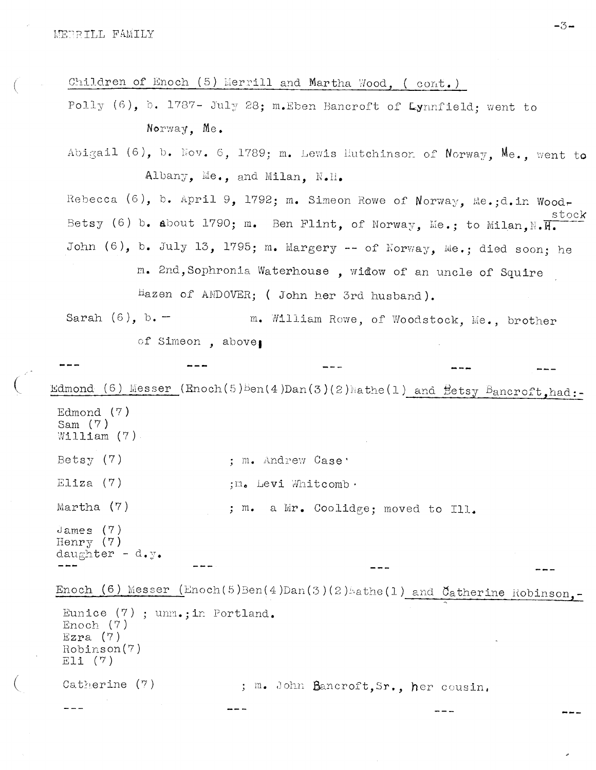Children of Enoch  $(5)$  Merrill and Martha Wood. ( cont.)

Polly (6), b. 1787- July 28; m. Eben Bancroft of Lynnfield; went to Norwap, Me.

Abigail (6), b. Nov. 6, 1789; m. Lewis Hutchinson of Norway, Me., went to Albany. Me., and Milan. N.H.

Rebecca (6), b. April 9, 1792; m. Simeon Rowe of Norway, Me.;d.in Woodstock Betsy (6) b. about 1790; m. Ben Flint, of Norway, Me.; to Milan.N. $\overline{H_{\bullet}}$ John  $(6)$ , b. July 13, 1795; m. Margery -- of Norway, Me.; died soon; he m. 2nd,Sophronia Waterhouse , widow of an uncle of Squire

hazen of ANDOVER; ( John her 3rd husband).

Sarah  $(6)$ , b.  $-$  m. William Rowe, of Woodstock, Me., brother of Simeon, above,

Edmond (6) Messer (Enoch(5)Ben(4)Dan(3)(2)Nathe(1) and Eetsy Bancroft,had:-Edmond (7) Sam (7)

```
W111iam (7)
Betsy (7) ; m. Andrew Case
Eliza (7) ; n_{o} Levi Whitcomb.
Martha (7) ; m. a Mr. Coolidge; moved to Ill.
```
dames (7) Henry (7) daughter -  $d.y$ .

Enoch (6) Messer (Enoch(5)Ben(4)Dan(3)(2) athe(1) and Catherine Robinson.

```
Eunice (7) ; unm.; in Portland.
Enoch (7)
Ezra (7)Rohirson(7)
Eli (7)
Catherine (7) ; m. John Bancroft, Sr., her cousin,
```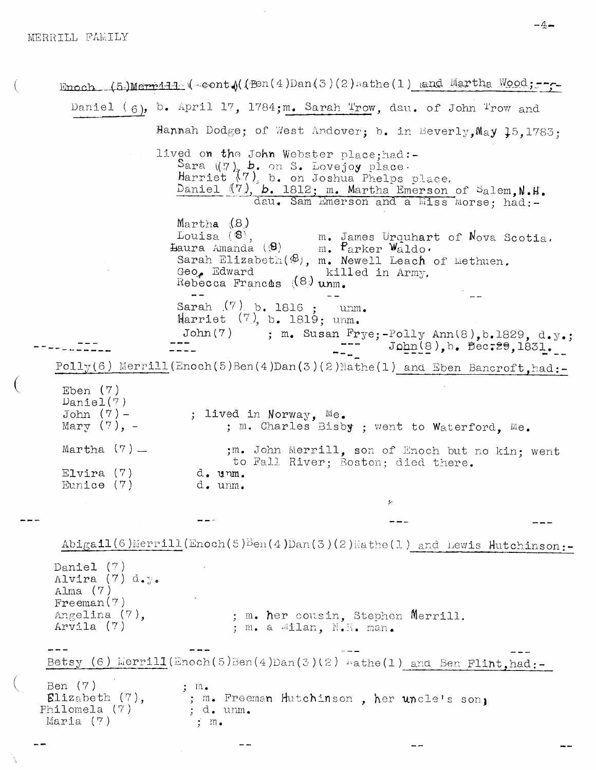Enoch (5)Merrill (cont ((fen(4)Dan(3)(2) wathe(1) and Martha Wood; ---Daniel  $(6)$ , b. April 17, 1784;m. Sarah Trow, day, of John Trow and Hannah Dodge; of West Andover; b. in Beverly, May 15, 1783; lived on the John Webster place; had:-Sara (17), b. on S. Lovejoy place.<br>Harriet (7), b. on Joshua Phelps place.<br>Daniel (7), b. 1812; m. Martha Emerson of Salem, N.H. dau. Sam Emerson and a Miss Morse: had:- $M$ artha  $(8)$ Louisa ( $\circledast$ ),  $\circledast$  m. James Urquhart of Nova Scotia.<br>
Haura Amanda ( $\circledast$ ) m. Parker Waldo.<br>
Sarah Elizabeth ( $\circledast$ ), m. Newell Leach of Liethuen. Geo. Edward killed in Army, Rebecca Frances  $(8)$  unm. Sarah  $(7)$  b. 1816 : unm. Harriet  $(7)$ , b. 1819; unm. ; m. Susan Frye;-Polly Ann(8), b.1829, d.y.;  $John(7)$  $-- Jophn(8)$ , b. Bec.29, 1831. ----- $Polly(6)$  Merrill (Enoch(5)Ben(4)Dan(3)(2)Mathe(1) and Eben Bancroft, had:-Eben  $(7)$  $Daniel(7)$  $John (7) -$ ; lived in Norway, Me. Mary  $(?)$ ,  $-$ ; m. Charles Bisby ; went to Waterford, Me. Martha  $(7)$  — ;m. John Merrill, son of Enoch but no kin: went to Fall River; Boston; died there.  $Elvira (7)$ d. unm. Eunice  $(7)$ d. unm.  $\text{Abigall}(6)$  Merrill (Enoch(5) Ben(4) Dan(3)(2) Mathe(1) and Lewis Hutchinson:-Daniel  $(7)$ Alvira (7) d.y. Alma $(7)$  $F$ reeman $(7)$ Angelina (7), ; m. her cousin, Stephen Merrill. Arvila (7) ; m. a Ailan, N.H. man. Betsy (6) Merrill(Enoch(5)Ben(4)Dan(3)(2)  $\kappa$ athe(1) and Ben Flint, had:-Ben (7)  $; m.$  $\texttt{Elizabeth}(7),$ ; m. Freeman Hutchinson, her uncle's son, ; d. unm. Philomela (7) Maria  $(7)$  $\frac{1}{2}$  m.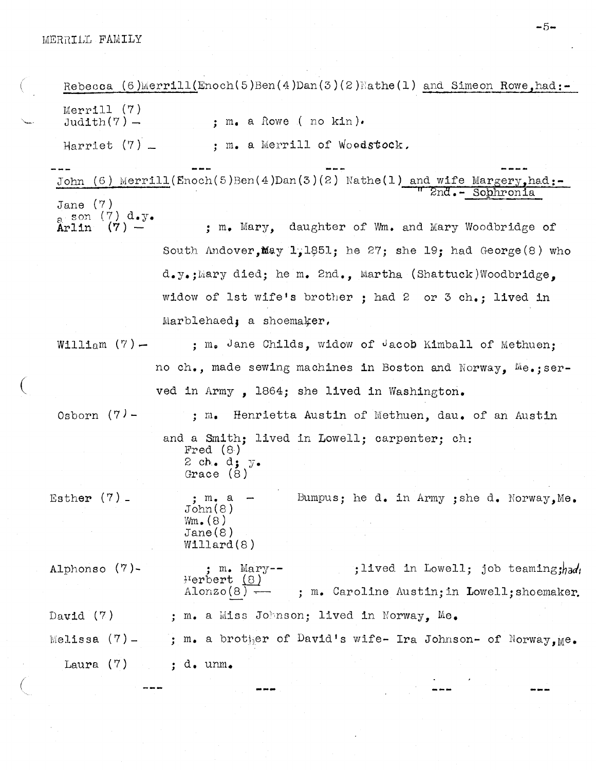Rebecca (6)Merrill(Enoch(5)Ben(4)Dan(3)(2)Mathe(1) and Simeon Rowe, had:-Merrill  $(7)$ <br>Judith $(7)$  - $\cdot$  m. a Rowe ( no kin). Harriet  $(7)$   $\qquad \qquad ;$  m. a Merrill of Woodstock, John (6) Merrill(Enoch(5)Ben(4)Dan(3)(2) Nathe(1) and wife Margery, had:- $2nd - Sobhronia$ Jane (7)  $\frac{1}{2}$  son (7) d.y.<br>Arlin (7) -; m. Mary, daughter of Wm. and Mary Woodbridge of South Andover, May 1,1851; he 27; she 19; had George  $(8)$  who d.y.;Mary died; he m. 2nd., Martha (Shattuck)Woodbridge. widow of 1st wife's brother ; had <sup>2</sup> or <sup>3</sup> ch.; lived in Marblehaed, a shoemaker, William  $(7)$  - ; m. Jane Childs, widow of Jacob Kimball of Methuen; no ch., made sewing machines in Boston and Norway. Me.;served in Army , 1864; she lived in Washington. Osborn  $(7)$  - ; m. Henrietta Austin of Methuen, dau. of an Austin and a Smith; lived in Lowell; carpenter; oh: Fred (8) 2 ch. d;  $y$ . Grace (8) Esther  $(7)$  - ; m. a - Bumpus; he d. in Army ; she d. Norway, Me. John(8)  $Wm_{\bullet}(8)$ Jane(S) Willard(8) Alphonso  $(7)$ -<br> $\begin{array}{c} \text{if } m \text{ is half} \\ \text{If } \text{else} \end{array}$ in. Mary-—  $\mu$ erbert (8) he d. in Army ;she d. Norway, Me.<br>;lived in Lowell; job teaming;had:<br>oline Austin;in Lowell;shoemaker. ; m. Caroline Austin; in Lowell; shoemaker. David  $(7)$  ; m. a Miss Johnson; lived in Norway. Me. Melissa (7)- ; m. a brother of David's wife- Ira Johnson- of Norway,  $Me$ . Laura  $(7)$  ; d. unm.

 $-5-$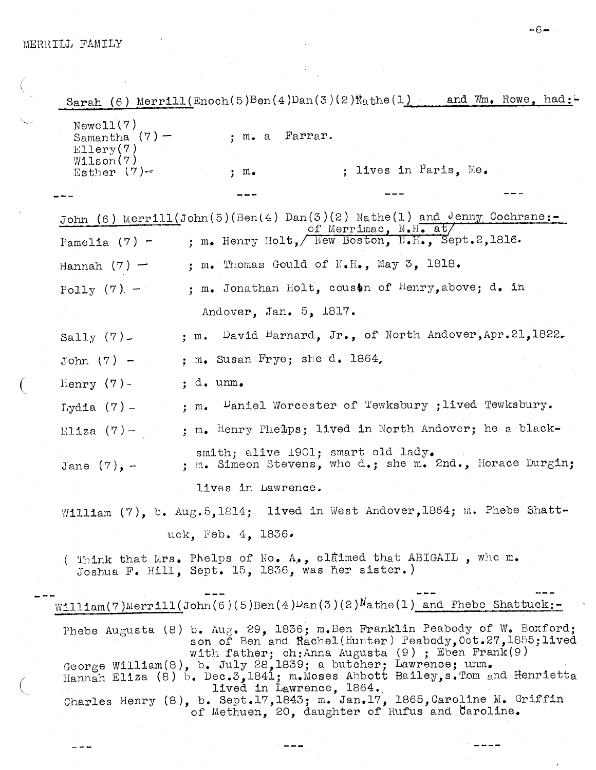$\bigg($ 

.<br>Ngjarje

÷

د د

| Sarah (6) Merrill (Enoch(5)Ben(4)Dan(3)(2)Nathe(1) and Wm. Rowe, had:                                                                                                                                                                                               |
|---------------------------------------------------------------------------------------------------------------------------------------------------------------------------------------------------------------------------------------------------------------------|
| Newell(7)<br>; m. a Farrar.<br>Samantha $(7)$ –<br>$E11$ ery $(7)$<br>W1lson(7)                                                                                                                                                                                     |
| ; lives in Paris, Me.<br>Esther $(7)$ -<br>; m.                                                                                                                                                                                                                     |
|                                                                                                                                                                                                                                                                     |
| John (6) Merrill(John(5)(Ben(4) Dan(3)(2) Nathe(1) and Jenny Cochrane:-<br>of Merrimac, N.H. at/                                                                                                                                                                    |
| ; m. Henry Holt, New Boston, N.H., Sept.2,1816.<br>Pamelia $(7)$ -                                                                                                                                                                                                  |
| ; m. Thomas Gould of $N.H.$ , May 3, 1818.<br>Hannah $(7)$ –                                                                                                                                                                                                        |
| ; m. Jonathan Holt, couson of Henry, above; d. in<br>Polly $(7)$ -                                                                                                                                                                                                  |
| Andover, Jan. 5, 1817.                                                                                                                                                                                                                                              |
| ; m. David Barnard, Jr., of North Andover, Apr. 21, 1822.<br>Sally $(7)$ $-$                                                                                                                                                                                        |
| ; m. Susan Frye; she d. $1864$ ,<br>John $(7)$ -                                                                                                                                                                                                                    |
| Henry $(7)$ -<br>$: d.$ unm.                                                                                                                                                                                                                                        |
| $\sim$ Paniel Worcester of Tewksbury ; lived Tewksbury.<br>Lydia $(7)$ -<br>$; m_{\bullet}$                                                                                                                                                                         |
| ; m. Henry Phelps; lived in North Andover; he a black-<br>Eliza $(7)$ -                                                                                                                                                                                             |
| smith; alive 1901; smart old lady.<br>; m. Simeon Stevens, who d.; she m. 2nd., Horace Durgin;<br>Jane $(7)$ , -                                                                                                                                                    |
| lives in Lawrence.                                                                                                                                                                                                                                                  |
| William (7), b. Aug. 5, 1814; lived in West Andover, 1864; m. Phebe Shatt-                                                                                                                                                                                          |
| uck, Feb. 4, 1836.                                                                                                                                                                                                                                                  |
| ( Think that Mrs. Phelps of No. A., claimed that ABIGAIL , who m.<br>Joshua F. Hill, Sept. 15, 1836, was her sister.)                                                                                                                                               |
| William(7)Merrill(John(6)(5)Ben(4)Dan(3)(2)Nathe(1) and Phebe Shattuck:-                                                                                                                                                                                            |
| Phebe Augusta (8) b. Aug. 29, 1836; m. Ben Franklin Peabody of W. Boxford;<br>son of Ben and Rachel(Hunter) Peabody, Oct.27, 1855; lived<br>with father; ch: Anna Augusta $(9)$ ; Eben Frank $(9)$<br>George William(8), b. July 28,1839; a butcher; Lawrence; unm. |
| Hannah Eliza (8) b. Dec.3,1841; m. Moses Abbott Bailey, s. Tom and Henrietta<br>lived in Lawrence, 1864.                                                                                                                                                            |
| Charles Henry (8), b. Sept.17,1843; m. Jan.17, 1865, Caroline M. Griffin<br>of Methuen, 20, daughter of Rufus and Caroline.                                                                                                                                         |

 $\frac{1}{2} \left( \frac{1}{2} \right) \left( \frac{1}{2} \right) \left( \frac{1}{2} \right)$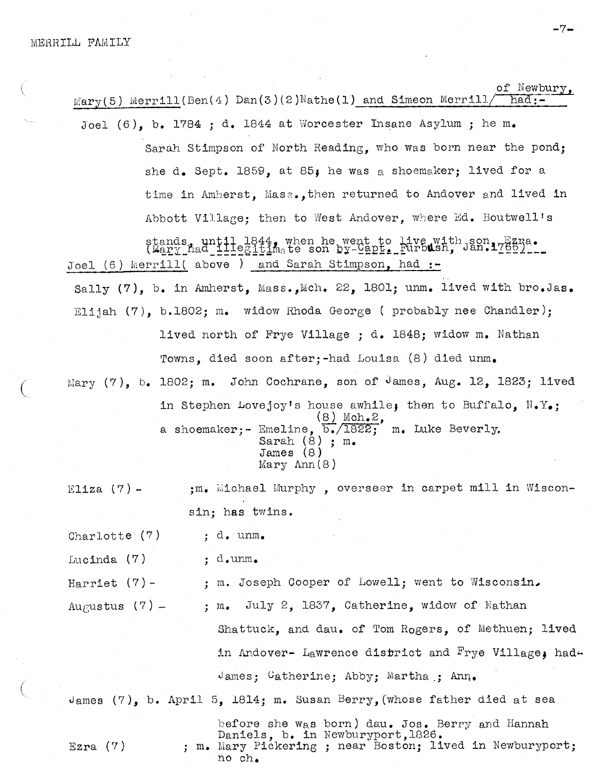of Newbu Mary(5) Merrill(Ben(4) Dan(3)(2)Nathe(1) and Simeon Merrill/ had:-Joel (6), b. 1784 ; d. 1844 at Worcester Insane Asylum ; he m.

> Sarah Stimpson of North Reading, who was born near the pond; she d. Sept. 1859, at 85; he was a shoemaker; lived for a time in Amherst, Ma82.,then returned to Andover and lived in Abbott Village; then to West Andover, where Ed. Boutwell's time in Amherst, Mass., then returned to Andover and lived<br>Abbott Village; then to West Andover, where Ed. Boutwell'<br>stands, until 1844, when he went to live with Jan.17621...<br>(Mary had lilegitinate son by-Capt. Furbush, J

abboot village; then to west Andover, where ha. boutwell<br>stands, until 1844, when he went to live with son range<br>(Mary hed illegitimate son by-Capt. Furbush. Jan.1768) Joel (6) Merrill( above ) and Sarah Stimpson, had :-

Sally (7), b. in Amherst, Mass.,Mch. 22, 1801; unm. lived with bro.Jas. Elijah  $(7)$ , b.1802; m. widow Rhoda George ( probably nee Chandler); lived north of Frye Village ; d. 1848; widow m. Nathan Towns, died soon after;-had Louisa (8) died unm. Mary  $(7)$ , b. 1802; m. John Cochrane, son of James, Aug. 12, 1823; lived in Stephen Lovejoy's house awhile; then to Buffalo,  $N_{\bullet}Y_{\bullet}$ ;  $(8)$  Mch.2, a shoemaker; - Emeline,  $\overline{b}$ ./1822; m. Luke Beverly.

Sarah (8) ; m. James (8) Mary Ann(8)

Eliza (7) -  $\ldots$  ;m. Michael Murphy , overseer in carpet mill in Wisconsin; has twins.

Charlotte  $(7)$  ; d. unm.

Lucinda  $(7)$ ; d.unm.

| Harriet $(7)$ -  | : m. Joseph Cooper of Lowell; went to Wisconsin.                          |
|------------------|---------------------------------------------------------------------------|
| Augustus $(7)$ - | ; m. July 2, 1837, Catherine, widow of Nathan                             |
|                  | Shattuck, and dau. of Tom Rogers, of Methuen; lived                       |
|                  | in Andover- Lawrence district and Frye Village, had                       |
|                  | James: Catherine; Abby; Martha ; Ann.                                     |
|                  | James $(7)$ , b. April 5, 1814; m. Susan Berry, (whose father died at sea |
|                  | hofono aho we home lakes Ion Donner and Homeste                           |

before she we,s born) dau. Jos. Berry and Hannah Daniels, b. in Newburyport,l826. Ezra (7) ; m. Mary Pickering ; near Boston; lived in Newburyport; no ch.

 $-7-$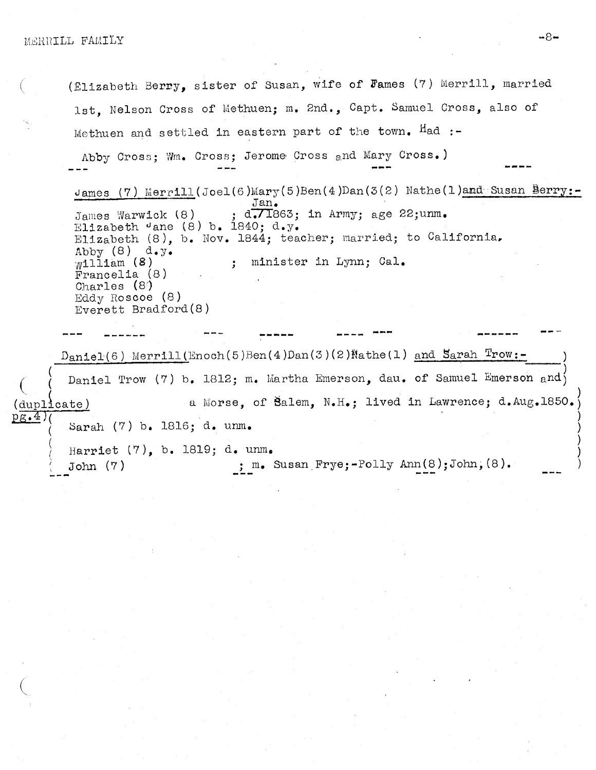(Elizabeth Berry, sister of Susan, wife of Fames (7) Merrill, married lst. Nelson Cross of Methuen; m. 2nd., Capt. Samuel Cross, also of Methuen and settled in eastern part of the town. Had :-Abby Cross; Wm. Cross; Jerome Cross and Mary Cross.) James (7) Merrill (Joel (6) Mary (5) Ben (4) Dan (3(2) Nathe (1) and Susan Berry:-Jan.  $d$ .  $71863$ ; in Army; age 22; unm. James Warwick (8) Elizabeth  $\theta$ ane (8) b. 1840; d.y. Elizabeth (8), b. Nov. 1844; teacher; married; to California. Abby  $(8)$  d.y. ; minister in Lynn; Cal.  $W1111am$  (8) Francelia (8) Charles (8) Eddy Roscoe (8) Everett Bradford(8)  $Dantel(6)$  Merrill (Enoch(5)Ben(4)Dan(3)(2)Nathe(1) and Sarah Trow:-Daniel Trow (7) b. 1812; m. Martha Emerson, dau. of Samuel Emerson and a Morse, of Balem, N.H.; lived in Lawrence; d.Aug.1850. duplicate)  $pg.4)$ Sarah (7) b. 1816; d. unm. Harriet  $(7)$ , b. 1819; d. unm. ;  $m_{\bullet}$  Susan Frye;-Polly Ann(8); John, (8).  $John(7)$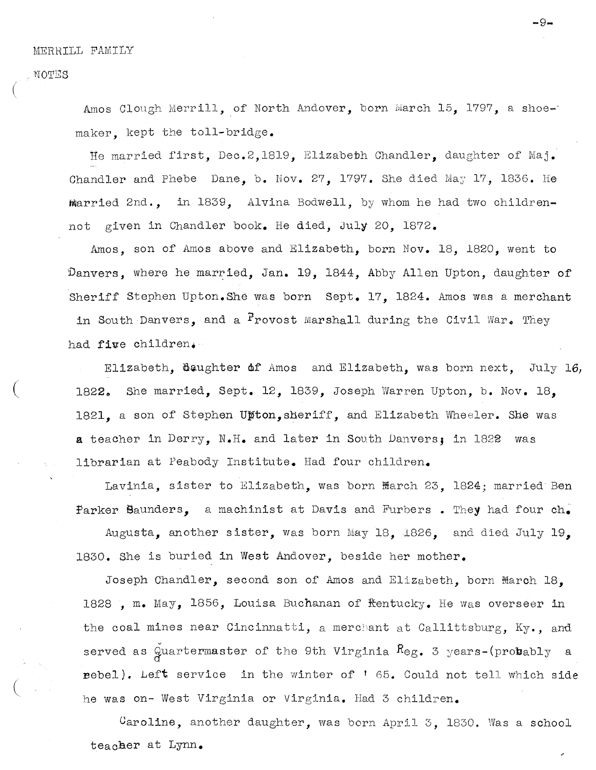NOTES

Amos Clough Merrill, of North Andover, born March 15, 1797, a shoemaker, kept the toll-bridge.

—9-.

He married first, Dec.2,l819, Elizabeth Chandler, daughter of Maj. Chandler and Phebe Dane, b. Nov.  $27$ , 1797. She died May 17, 1836. He married 2nd., in 1839, Alvina Bodwell, by whom he had two children not given in Chandler book. He died, 3uly 20, 1872.

Amos, son of Amos above and Elizabeth, born Nov. 18, 1820, went to Danvers, where he married, Jan. 19, 1844, Abby Allen Upton, daughter of Sheriff Stephen Upton.Shê was born Sept. 17, 1824. Amos was <sup>a</sup> merchant in South Danvers, and a  $P$ rovost Marshall during the Civil War. They had five children.

Elizabeth, daughter of Amos and Elizabeth, was born next, July 16, 1822. She married, Sept. 12, 1839, Joseph Warren Upton, b. Nov. 18. 1821, a son of Stephen Upton, sheriff, and Elizabeth Wheeler. She was a teacher in Derry, N.H. and later in South Danvers; in <sup>1822</sup> was librarian at Peabody Institute. Had four children.

Lavinia, sister to Elizabeth, was born march 23, 1824; married Ben Parker Saunders, a machinist at Davis and Furbers. They had four  $ch_{\bullet}$ 

Augusta, another sister, was born May 18, 1826, and died July 19, 1830. She is buried in West Andover, beside her mother.

Joseph Chandler, second son of Amos and Elizabeth, born March 18, 1828 , m. May, 1856, Louisa Buchanan of Rentucky. He was overseer in the coal mines near Cincinnatti, a merchant at Callittsburg, Ky., and served as Quartermaster of the 9th Virginia  $\text{R}_{\text{eg.}}$  3 years-(probably a rebel). Left service in the winter of '65. Could not tell which side he was on- West Virginia or Virginia. Had <sup>3</sup> children.

Caroline, another daughter, was born April 3, 1830. Was a school teacher at Lynn.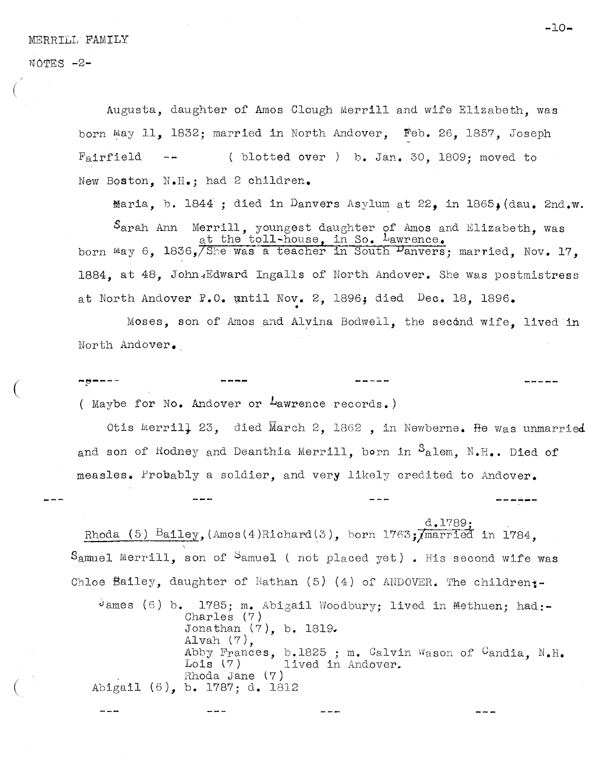NOTES -2-

Augusta, daughter of Amos Ciough Merrill and wife Elizabeth, was born May 11, 1832; married in North Andover, Feb. 26, 1857, Joseph Fairfield  $-$  ( blotted over ) b. Jan. 30. 1809; moved to New Boston, N.H.; had <sup>2</sup> children.

Maria, b. 1844 ; died in Danvers Asylum at 22. in 1865. (dau. 2nd.w. oston, N.H.; had 2 children.<br>
Maria, b. 1844 ; died in Danvers Asylum at 22, in 1865, (dau. 2nd<br>
Sarah Ann Merrill, youngest daughter of Amos and Elizabeth, was<br>
at the toll-house, in So. Lawrence. born may 6, 1836, She was a teacher in South Panvers; married, Nov. 17, New Boston, N.H.; had 2 children.<br>
Maria, b. 1844; died in Danvers Asylum at 22, in 1865, (dau. 2nd.w<br>
Sarah Ann Merrill, youngest daughter of Amos and Elizabeth, was<br>
shorn May 6, 1836, She was a teacher in South Panvers; at North Andover P.O. until Nov. 2, 1896; died Dec. 18, 1896.

Moses, son of Amos and Alvina Bodwell, the second wife, lived in North Andover.

------( Maybe for No. Andover or Lawrence records.)

Otis Merrill 23, died March 2, 1862, in Newberne. He was unmarried and son of Rodney and Deanthia Merrill, born in  $S_{\text{a}}$ lem. N.H.. Died of measles. Probably <sup>a</sup> soldier, and very likely credited to Andover,

 $d.1789:$ Rhoda (5) Bailey, (Amos(4)Richard(3), born  $1763$ ; married in 1784. Samuel Merrill, son of Samuel ( not placed yet). His second wife was Chloe Bailey, daughter of Nathan (5) (4) of ANDOVER. The children:-

dames (6) b.  $1785$ ; m. Abigail Woodbury; lived in Methuen; had:-Charles (7) Jonathan (7), b. 1819. Alvah (7), Abby Frances, b.1825 ; m. Calvin Wason of Candia, N.H.<br>Lois (7) lived in Andover. lived in Andover. Rhoda Jane (7) Abigail (6), b. 1787; d. 1812